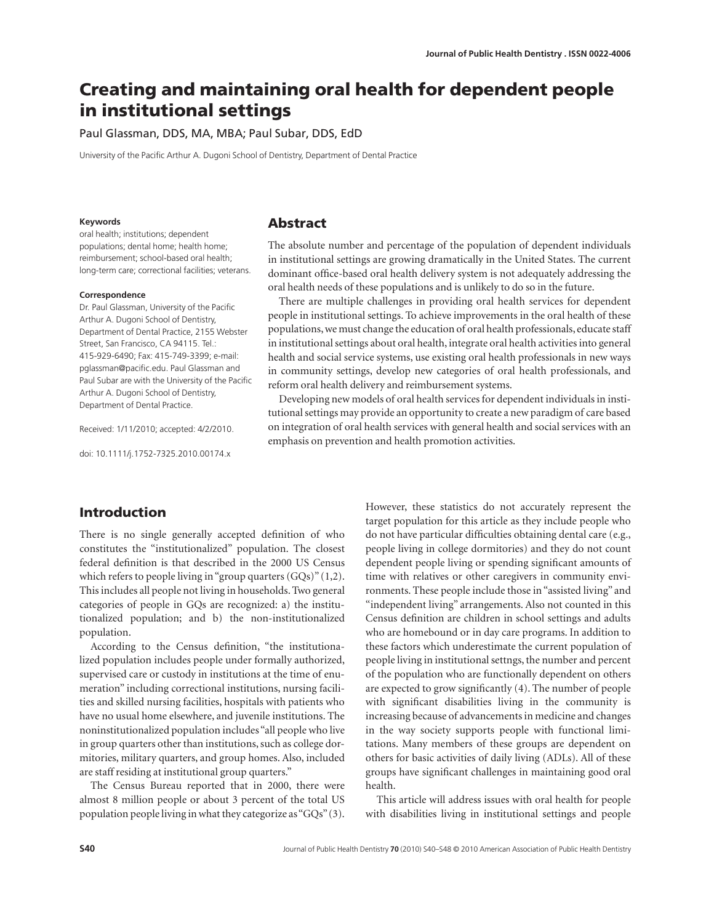# **Creating and maintaining oral health for dependent people in institutional settings**

Paul Glassman, DDS, MA, MBA; Paul Subar, DDS, EdD

University of the Pacific Arthur A. Dugoni School of Dentistry, Department of Dental Practice

#### **Keywords**

oral health; institutions; dependent populations; dental home; health home; reimbursement; school-based oral health; long-term care; correctional facilities; veterans.

#### **Correspondence**

Dr. Paul Glassman, University of the Pacific Arthur A. Dugoni School of Dentistry, Department of Dental Practice, 2155 Webster Street, San Francisco, CA 94115. Tel.: 415-929-6490; Fax: 415-749-3399; e-mail: pglassman@pacific.edu. Paul Glassman and Paul Subar are with the University of the Pacific Arthur A. Dugoni School of Dentistry, Department of Dental Practice.

Received: 1/11/2010; accepted: 4/2/2010.

doi: 10.1111/j.1752-7325.2010.00174.x

#### **Abstract**

The absolute number and percentage of the population of dependent individuals in institutional settings are growing dramatically in the United States. The current dominant office-based oral health delivery system is not adequately addressing the oral health needs of these populations and is unlikely to do so in the future.

There are multiple challenges in providing oral health services for dependent people in institutional settings. To achieve improvements in the oral health of these populations,we must change the education of oral health professionals, educate staff in institutional settings about oral health, integrate oral health activities into general health and social service systems, use existing oral health professionals in new ways in community settings, develop new categories of oral health professionals, and reform oral health delivery and reimbursement systems.

Developing new models of oral health services for dependent individuals in institutional settings may provide an opportunity to create a new paradigm of care based on integration of oral health services with general health and social services with an emphasis on prevention and health promotion activities.

# **Introduction**

There is no single generally accepted definition of who constitutes the "institutionalized" population. The closest federal definition is that described in the 2000 US Census which refers to people living in "group quarters (GQs)" (1,2). This includes all people not living in households. Two general categories of people in GQs are recognized: a) the institutionalized population; and b) the non-institutionalized population.

According to the Census definition, "the institutionalized population includes people under formally authorized, supervised care or custody in institutions at the time of enumeration" including correctional institutions, nursing facilities and skilled nursing facilities, hospitals with patients who have no usual home elsewhere, and juvenile institutions. The noninstitutionalized population includes "all people who live in group quarters other than institutions, such as college dormitories, military quarters, and group homes. Also, included are staff residing at institutional group quarters."

The Census Bureau reported that in 2000, there were almost 8 million people or about 3 percent of the total US population people living in what they categorize as"GQs" (3).

However, these statistics do not accurately represent the target population for this article as they include people who do not have particular difficulties obtaining dental care (e.g., people living in college dormitories) and they do not count dependent people living or spending significant amounts of time with relatives or other caregivers in community environments. These people include those in "assisted living" and "independent living" arrangements. Also not counted in this Census definition are children in school settings and adults who are homebound or in day care programs. In addition to these factors which underestimate the current population of people living in institutional settngs, the number and percent of the population who are functionally dependent on others are expected to grow significantly (4). The number of people with significant disabilities living in the community is increasing because of advancements in medicine and changes in the way society supports people with functional limitations. Many members of these groups are dependent on others for basic activities of daily living (ADLs). All of these groups have significant challenges in maintaining good oral health.

This article will address issues with oral health for people with disabilities living in institutional settings and people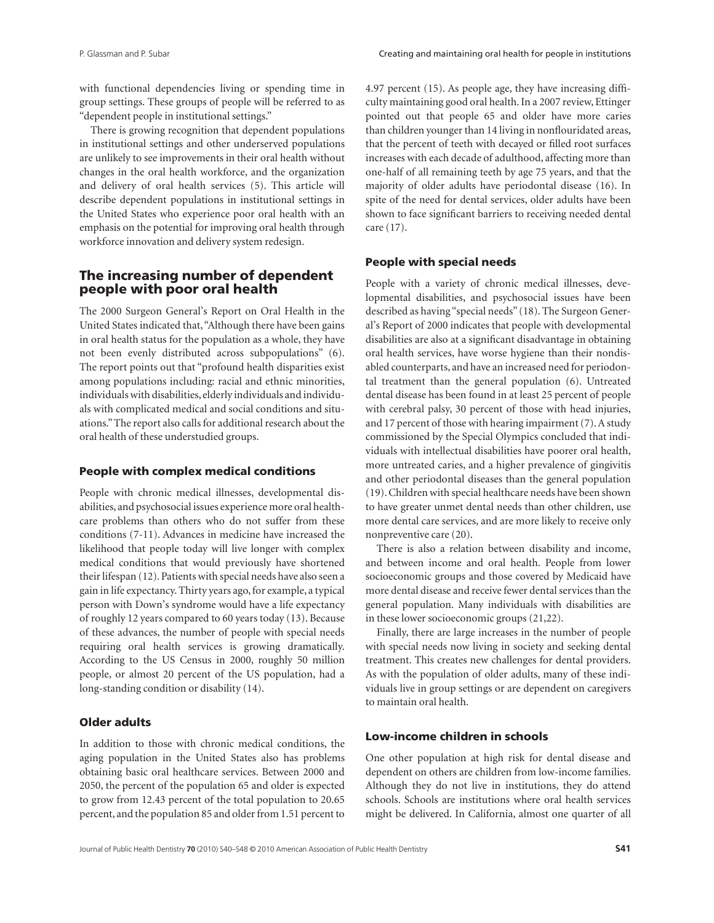with functional dependencies living or spending time in group settings. These groups of people will be referred to as "dependent people in institutional settings."

There is growing recognition that dependent populations in institutional settings and other underserved populations are unlikely to see improvements in their oral health without changes in the oral health workforce, and the organization and delivery of oral health services (5). This article will describe dependent populations in institutional settings in the United States who experience poor oral health with an emphasis on the potential for improving oral health through workforce innovation and delivery system redesign.

# **The increasing number of dependent people with poor oral health**

The 2000 Surgeon General's Report on Oral Health in the United States indicated that,"Although there have been gains in oral health status for the population as a whole, they have not been evenly distributed across subpopulations" (6). The report points out that "profound health disparities exist among populations including: racial and ethnic minorities, individuals with disabilities, elderly individuals and individuals with complicated medical and social conditions and situations."The report also calls for additional research about the oral health of these understudied groups.

#### **People with complex medical conditions**

People with chronic medical illnesses, developmental disabilities, and psychosocial issues experience more oral healthcare problems than others who do not suffer from these conditions (7-11). Advances in medicine have increased the likelihood that people today will live longer with complex medical conditions that would previously have shortened their lifespan (12). Patients with special needs have also seen a gain in life expectancy. Thirty years ago, for example, a typical person with Down's syndrome would have a life expectancy of roughly 12 years compared to 60 years today (13). Because of these advances, the number of people with special needs requiring oral health services is growing dramatically. According to the US Census in 2000, roughly 50 million people, or almost 20 percent of the US population, had a long-standing condition or disability (14).

### **Older adults**

In addition to those with chronic medical conditions, the aging population in the United States also has problems obtaining basic oral healthcare services. Between 2000 and 2050, the percent of the population 65 and older is expected to grow from 12.43 percent of the total population to 20.65 percent, and the population 85 and older from 1.51 percent to

4.97 percent (15). As people age, they have increasing difficulty maintaining good oral health. In a 2007 review, Ettinger pointed out that people 65 and older have more caries than children younger than 14 living in nonflouridated areas, that the percent of teeth with decayed or filled root surfaces increases with each decade of adulthood, affecting more than one-half of all remaining teeth by age 75 years, and that the majority of older adults have periodontal disease (16). In spite of the need for dental services, older adults have been shown to face significant barriers to receiving needed dental care (17).

### **People with special needs**

People with a variety of chronic medical illnesses, developmental disabilities, and psychosocial issues have been described as having "special needs" (18). The Surgeon General's Report of 2000 indicates that people with developmental disabilities are also at a significant disadvantage in obtaining oral health services, have worse hygiene than their nondisabled counterparts, and have an increased need for periodontal treatment than the general population (6). Untreated dental disease has been found in at least 25 percent of people with cerebral palsy, 30 percent of those with head injuries, and 17 percent of those with hearing impairment (7).A study commissioned by the Special Olympics concluded that individuals with intellectual disabilities have poorer oral health, more untreated caries, and a higher prevalence of gingivitis and other periodontal diseases than the general population (19). Children with special healthcare needs have been shown to have greater unmet dental needs than other children, use more dental care services, and are more likely to receive only nonpreventive care (20).

There is also a relation between disability and income, and between income and oral health. People from lower socioeconomic groups and those covered by Medicaid have more dental disease and receive fewer dental services than the general population. Many individuals with disabilities are in these lower socioeconomic groups (21,22).

Finally, there are large increases in the number of people with special needs now living in society and seeking dental treatment. This creates new challenges for dental providers. As with the population of older adults, many of these individuals live in group settings or are dependent on caregivers to maintain oral health.

### **Low-income children in schools**

One other population at high risk for dental disease and dependent on others are children from low-income families. Although they do not live in institutions, they do attend schools. Schools are institutions where oral health services might be delivered. In California, almost one quarter of all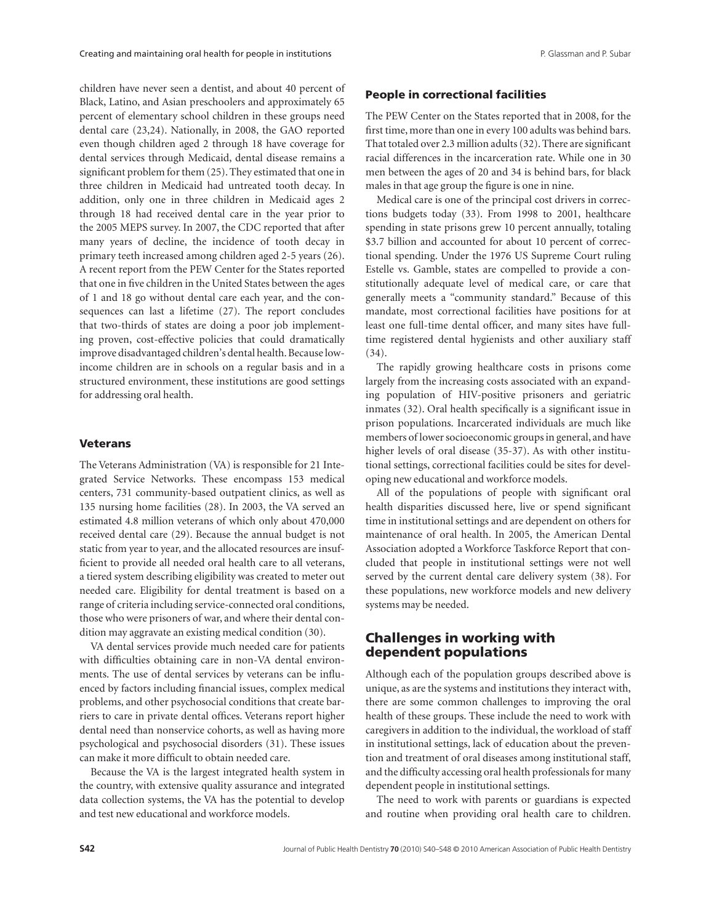children have never seen a dentist, and about 40 percent of Black, Latino, and Asian preschoolers and approximately 65 percent of elementary school children in these groups need dental care (23,24). Nationally, in 2008, the GAO reported even though children aged 2 through 18 have coverage for dental services through Medicaid, dental disease remains a significant problem for them (25). They estimated that one in three children in Medicaid had untreated tooth decay. In addition, only one in three children in Medicaid ages 2 through 18 had received dental care in the year prior to the 2005 MEPS survey. In 2007, the CDC reported that after many years of decline, the incidence of tooth decay in primary teeth increased among children aged 2-5 years (26). A recent report from the PEW Center for the States reported that one in five children in the United States between the ages of 1 and 18 go without dental care each year, and the consequences can last a lifetime (27). The report concludes that two-thirds of states are doing a poor job implementing proven, cost-effective policies that could dramatically improve disadvantaged children's dental health. Because lowincome children are in schools on a regular basis and in a structured environment, these institutions are good settings for addressing oral health.

#### **Veterans**

The Veterans Administration (VA) is responsible for 21 Integrated Service Networks. These encompass 153 medical centers, 731 community-based outpatient clinics, as well as 135 nursing home facilities (28). In 2003, the VA served an estimated 4.8 million veterans of which only about 470,000 received dental care (29). Because the annual budget is not static from year to year, and the allocated resources are insufficient to provide all needed oral health care to all veterans, a tiered system describing eligibility was created to meter out needed care. Eligibility for dental treatment is based on a range of criteria including service-connected oral conditions, those who were prisoners of war, and where their dental condition may aggravate an existing medical condition (30).

VA dental services provide much needed care for patients with difficulties obtaining care in non-VA dental environments. The use of dental services by veterans can be influenced by factors including financial issues, complex medical problems, and other psychosocial conditions that create barriers to care in private dental offices. Veterans report higher dental need than nonservice cohorts, as well as having more psychological and psychosocial disorders (31). These issues can make it more difficult to obtain needed care.

Because the VA is the largest integrated health system in the country, with extensive quality assurance and integrated data collection systems, the VA has the potential to develop and test new educational and workforce models.

#### **People in correctional facilities**

The PEW Center on the States reported that in 2008, for the first time, more than one in every 100 adults was behind bars. That totaled over 2.3 million adults (32). There are significant racial differences in the incarceration rate. While one in 30 men between the ages of 20 and 34 is behind bars, for black males in that age group the figure is one in nine.

Medical care is one of the principal cost drivers in corrections budgets today (33). From 1998 to 2001, healthcare spending in state prisons grew 10 percent annually, totaling \$3.7 billion and accounted for about 10 percent of correctional spending. Under the 1976 US Supreme Court ruling Estelle vs. Gamble, states are compelled to provide a constitutionally adequate level of medical care, or care that generally meets a "community standard." Because of this mandate, most correctional facilities have positions for at least one full-time dental officer, and many sites have fulltime registered dental hygienists and other auxiliary staff (34).

The rapidly growing healthcare costs in prisons come largely from the increasing costs associated with an expanding population of HIV-positive prisoners and geriatric inmates (32). Oral health specifically is a significant issue in prison populations. Incarcerated individuals are much like members of lower socioeconomic groups in general, and have higher levels of oral disease (35-37). As with other institutional settings, correctional facilities could be sites for developing new educational and workforce models.

All of the populations of people with significant oral health disparities discussed here, live or spend significant time in institutional settings and are dependent on others for maintenance of oral health. In 2005, the American Dental Association adopted a Workforce Taskforce Report that concluded that people in institutional settings were not well served by the current dental care delivery system (38). For these populations, new workforce models and new delivery systems may be needed.

# **Challenges in working with dependent populations**

Although each of the population groups described above is unique, as are the systems and institutions they interact with, there are some common challenges to improving the oral health of these groups. These include the need to work with caregivers in addition to the individual, the workload of staff in institutional settings, lack of education about the prevention and treatment of oral diseases among institutional staff, and the difficulty accessing oral health professionals for many dependent people in institutional settings.

The need to work with parents or guardians is expected and routine when providing oral health care to children.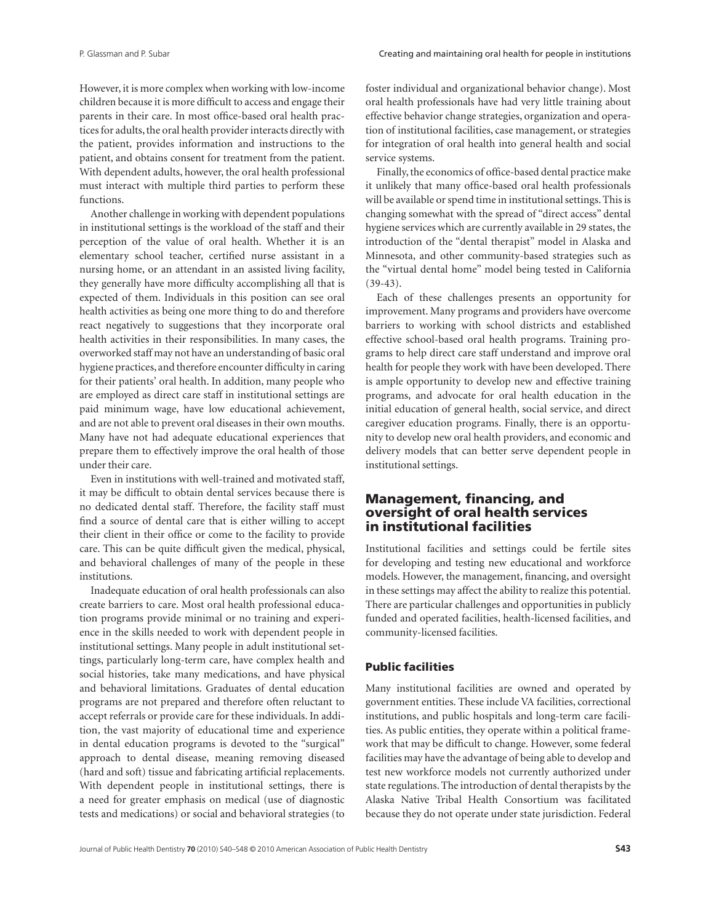However, it is more complex when working with low-income children because it is more difficult to access and engage their parents in their care. In most office-based oral health practices for adults, the oral health provider interacts directly with the patient, provides information and instructions to the patient, and obtains consent for treatment from the patient. With dependent adults, however, the oral health professional must interact with multiple third parties to perform these functions.

Another challenge in working with dependent populations in institutional settings is the workload of the staff and their perception of the value of oral health. Whether it is an elementary school teacher, certified nurse assistant in a nursing home, or an attendant in an assisted living facility, they generally have more difficulty accomplishing all that is expected of them. Individuals in this position can see oral health activities as being one more thing to do and therefore react negatively to suggestions that they incorporate oral health activities in their responsibilities. In many cases, the overworked staff may not have an understanding of basic oral hygiene practices, and therefore encounter difficulty in caring for their patients' oral health. In addition, many people who are employed as direct care staff in institutional settings are paid minimum wage, have low educational achievement, and are not able to prevent oral diseases in their own mouths. Many have not had adequate educational experiences that prepare them to effectively improve the oral health of those under their care.

Even in institutions with well-trained and motivated staff, it may be difficult to obtain dental services because there is no dedicated dental staff. Therefore, the facility staff must find a source of dental care that is either willing to accept their client in their office or come to the facility to provide care. This can be quite difficult given the medical, physical, and behavioral challenges of many of the people in these institutions.

Inadequate education of oral health professionals can also create barriers to care. Most oral health professional education programs provide minimal or no training and experience in the skills needed to work with dependent people in institutional settings. Many people in adult institutional settings, particularly long-term care, have complex health and social histories, take many medications, and have physical and behavioral limitations. Graduates of dental education programs are not prepared and therefore often reluctant to accept referrals or provide care for these individuals. In addition, the vast majority of educational time and experience in dental education programs is devoted to the "surgical" approach to dental disease, meaning removing diseased (hard and soft) tissue and fabricating artificial replacements. With dependent people in institutional settings, there is a need for greater emphasis on medical (use of diagnostic tests and medications) or social and behavioral strategies (to

foster individual and organizational behavior change). Most oral health professionals have had very little training about effective behavior change strategies, organization and operation of institutional facilities, case management, or strategies for integration of oral health into general health and social service systems.

Finally, the economics of office-based dental practice make it unlikely that many office-based oral health professionals will be available or spend time in institutional settings. This is changing somewhat with the spread of "direct access" dental hygiene services which are currently available in 29 states, the introduction of the "dental therapist" model in Alaska and Minnesota, and other community-based strategies such as the "virtual dental home" model being tested in California (39-43).

Each of these challenges presents an opportunity for improvement. Many programs and providers have overcome barriers to working with school districts and established effective school-based oral health programs. Training programs to help direct care staff understand and improve oral health for people they work with have been developed. There is ample opportunity to develop new and effective training programs, and advocate for oral health education in the initial education of general health, social service, and direct caregiver education programs. Finally, there is an opportunity to develop new oral health providers, and economic and delivery models that can better serve dependent people in institutional settings.

# **Management, financing, and oversight of oral health services in institutional facilities**

Institutional facilities and settings could be fertile sites for developing and testing new educational and workforce models. However, the management, financing, and oversight in these settings may affect the ability to realize this potential. There are particular challenges and opportunities in publicly funded and operated facilities, health-licensed facilities, and community-licensed facilities.

# **Public facilities**

Many institutional facilities are owned and operated by government entities. These include VA facilities, correctional institutions, and public hospitals and long-term care facilities. As public entities, they operate within a political framework that may be difficult to change. However, some federal facilities may have the advantage of being able to develop and test new workforce models not currently authorized under state regulations. The introduction of dental therapists by the Alaska Native Tribal Health Consortium was facilitated because they do not operate under state jurisdiction. Federal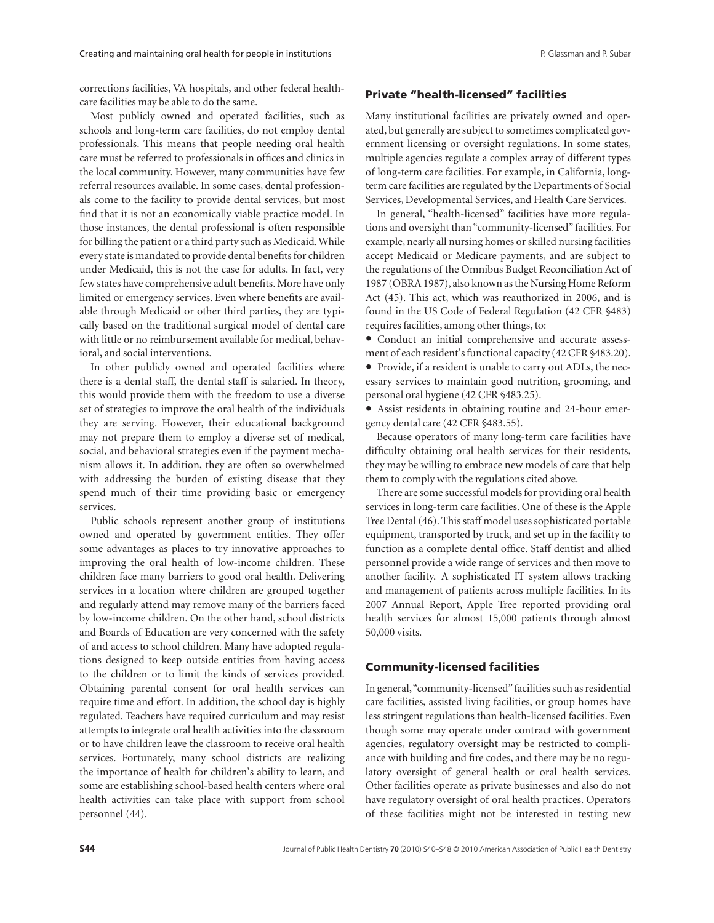corrections facilities, VA hospitals, and other federal healthcare facilities may be able to do the same.

Most publicly owned and operated facilities, such as schools and long-term care facilities, do not employ dental professionals. This means that people needing oral health care must be referred to professionals in offices and clinics in the local community. However, many communities have few referral resources available. In some cases, dental professionals come to the facility to provide dental services, but most find that it is not an economically viable practice model. In those instances, the dental professional is often responsible for billing the patient or a third party such as Medicaid.While every state is mandated to provide dental benefits for children under Medicaid, this is not the case for adults. In fact, very few states have comprehensive adult benefits. More have only limited or emergency services. Even where benefits are available through Medicaid or other third parties, they are typically based on the traditional surgical model of dental care with little or no reimbursement available for medical, behavioral, and social interventions.

In other publicly owned and operated facilities where there is a dental staff, the dental staff is salaried. In theory, this would provide them with the freedom to use a diverse set of strategies to improve the oral health of the individuals they are serving. However, their educational background may not prepare them to employ a diverse set of medical, social, and behavioral strategies even if the payment mechanism allows it. In addition, they are often so overwhelmed with addressing the burden of existing disease that they spend much of their time providing basic or emergency services.

Public schools represent another group of institutions owned and operated by government entities. They offer some advantages as places to try innovative approaches to improving the oral health of low-income children. These children face many barriers to good oral health. Delivering services in a location where children are grouped together and regularly attend may remove many of the barriers faced by low-income children. On the other hand, school districts and Boards of Education are very concerned with the safety of and access to school children. Many have adopted regulations designed to keep outside entities from having access to the children or to limit the kinds of services provided. Obtaining parental consent for oral health services can require time and effort. In addition, the school day is highly regulated. Teachers have required curriculum and may resist attempts to integrate oral health activities into the classroom or to have children leave the classroom to receive oral health services. Fortunately, many school districts are realizing the importance of health for children's ability to learn, and some are establishing school-based health centers where oral health activities can take place with support from school personnel (44).

#### **Private "health-licensed" facilities**

Many institutional facilities are privately owned and operated, but generally are subject to sometimes complicated government licensing or oversight regulations. In some states, multiple agencies regulate a complex array of different types of long-term care facilities. For example, in California, longterm care facilities are regulated by the Departments of Social Services, Developmental Services, and Health Care Services.

In general, "health-licensed" facilities have more regulations and oversight than "community-licensed" facilities. For example, nearly all nursing homes or skilled nursing facilities accept Medicaid or Medicare payments, and are subject to the regulations of the Omnibus Budget Reconciliation Act of 1987 (OBRA 1987), also known as the Nursing Home Reform Act (45). This act, which was reauthorized in 2006, and is found in the US Code of Federal Regulation (42 CFR §483) requires facilities, among other things, to:

**•** Conduct an initial comprehensive and accurate assessment of each resident's functional capacity (42 CFR §483.20).

**•** Provide, if a resident is unable to carry out ADLs, the necessary services to maintain good nutrition, grooming, and personal oral hygiene (42 CFR §483.25).

**•** Assist residents in obtaining routine and 24-hour emergency dental care (42 CFR §483.55).

Because operators of many long-term care facilities have difficulty obtaining oral health services for their residents, they may be willing to embrace new models of care that help them to comply with the regulations cited above.

There are some successful models for providing oral health services in long-term care facilities. One of these is the Apple Tree Dental (46). This staff model uses sophisticated portable equipment, transported by truck, and set up in the facility to function as a complete dental office. Staff dentist and allied personnel provide a wide range of services and then move to another facility. A sophisticated IT system allows tracking and management of patients across multiple facilities. In its 2007 Annual Report, Apple Tree reported providing oral health services for almost 15,000 patients through almost 50,000 visits.

#### **Community-licensed facilities**

In general,"community-licensed"facilities such as residential care facilities, assisted living facilities, or group homes have less stringent regulations than health-licensed facilities. Even though some may operate under contract with government agencies, regulatory oversight may be restricted to compliance with building and fire codes, and there may be no regulatory oversight of general health or oral health services. Other facilities operate as private businesses and also do not have regulatory oversight of oral health practices. Operators of these facilities might not be interested in testing new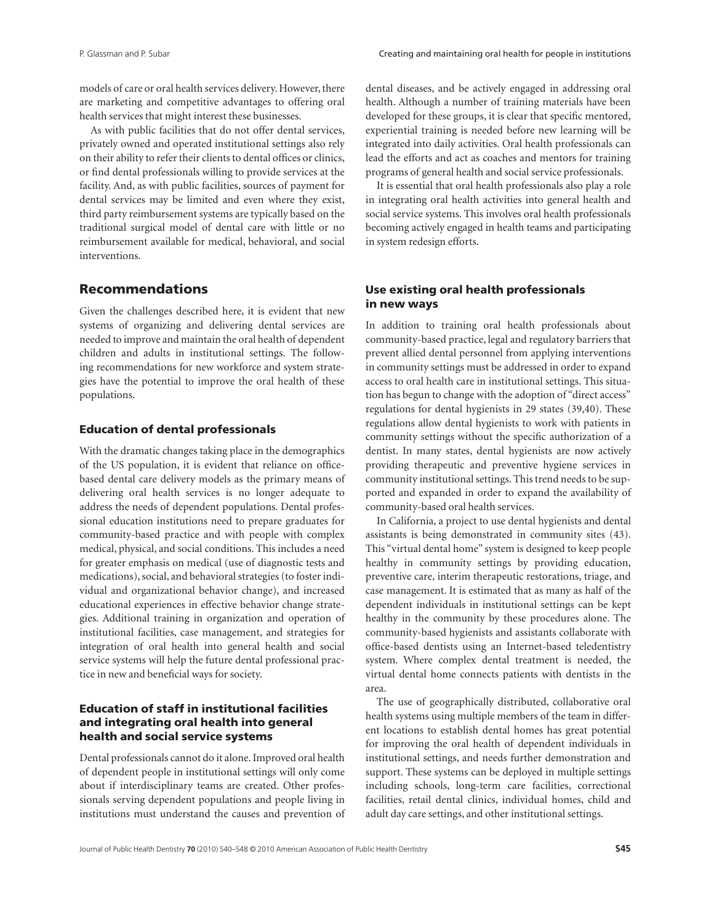models of care or oral health services delivery. However, there are marketing and competitive advantages to offering oral health services that might interest these businesses.

As with public facilities that do not offer dental services, privately owned and operated institutional settings also rely on their ability to refer their clients to dental offices or clinics, or find dental professionals willing to provide services at the facility. And, as with public facilities, sources of payment for dental services may be limited and even where they exist, third party reimbursement systems are typically based on the traditional surgical model of dental care with little or no reimbursement available for medical, behavioral, and social interventions.

# **Recommendations**

Given the challenges described here, it is evident that new systems of organizing and delivering dental services are needed to improve and maintain the oral health of dependent children and adults in institutional settings. The following recommendations for new workforce and system strategies have the potential to improve the oral health of these populations.

#### **Education of dental professionals**

With the dramatic changes taking place in the demographics of the US population, it is evident that reliance on officebased dental care delivery models as the primary means of delivering oral health services is no longer adequate to address the needs of dependent populations. Dental professional education institutions need to prepare graduates for community-based practice and with people with complex medical, physical, and social conditions. This includes a need for greater emphasis on medical (use of diagnostic tests and medications), social, and behavioral strategies (to foster individual and organizational behavior change), and increased educational experiences in effective behavior change strategies. Additional training in organization and operation of institutional facilities, case management, and strategies for integration of oral health into general health and social service systems will help the future dental professional practice in new and beneficial ways for society.

# **Education of staff in institutional facilities and integrating oral health into general health and social service systems**

Dental professionals cannot do it alone. Improved oral health of dependent people in institutional settings will only come about if interdisciplinary teams are created. Other professionals serving dependent populations and people living in institutions must understand the causes and prevention of

dental diseases, and be actively engaged in addressing oral health. Although a number of training materials have been developed for these groups, it is clear that specific mentored, experiential training is needed before new learning will be integrated into daily activities. Oral health professionals can lead the efforts and act as coaches and mentors for training programs of general health and social service professionals.

It is essential that oral health professionals also play a role in integrating oral health activities into general health and social service systems. This involves oral health professionals becoming actively engaged in health teams and participating in system redesign efforts.

# **Use existing oral health professionals in new ways**

In addition to training oral health professionals about community-based practice, legal and regulatory barriers that prevent allied dental personnel from applying interventions in community settings must be addressed in order to expand access to oral health care in institutional settings. This situation has begun to change with the adoption of "direct access" regulations for dental hygienists in 29 states (39,40). These regulations allow dental hygienists to work with patients in community settings without the specific authorization of a dentist. In many states, dental hygienists are now actively providing therapeutic and preventive hygiene services in community institutional settings. This trend needs to be supported and expanded in order to expand the availability of community-based oral health services.

In California, a project to use dental hygienists and dental assistants is being demonstrated in community sites (43). This "virtual dental home" system is designed to keep people healthy in community settings by providing education, preventive care, interim therapeutic restorations, triage, and case management. It is estimated that as many as half of the dependent individuals in institutional settings can be kept healthy in the community by these procedures alone. The community-based hygienists and assistants collaborate with office-based dentists using an Internet-based teledentistry system. Where complex dental treatment is needed, the virtual dental home connects patients with dentists in the area.

The use of geographically distributed, collaborative oral health systems using multiple members of the team in different locations to establish dental homes has great potential for improving the oral health of dependent individuals in institutional settings, and needs further demonstration and support. These systems can be deployed in multiple settings including schools, long-term care facilities, correctional facilities, retail dental clinics, individual homes, child and adult day care settings, and other institutional settings.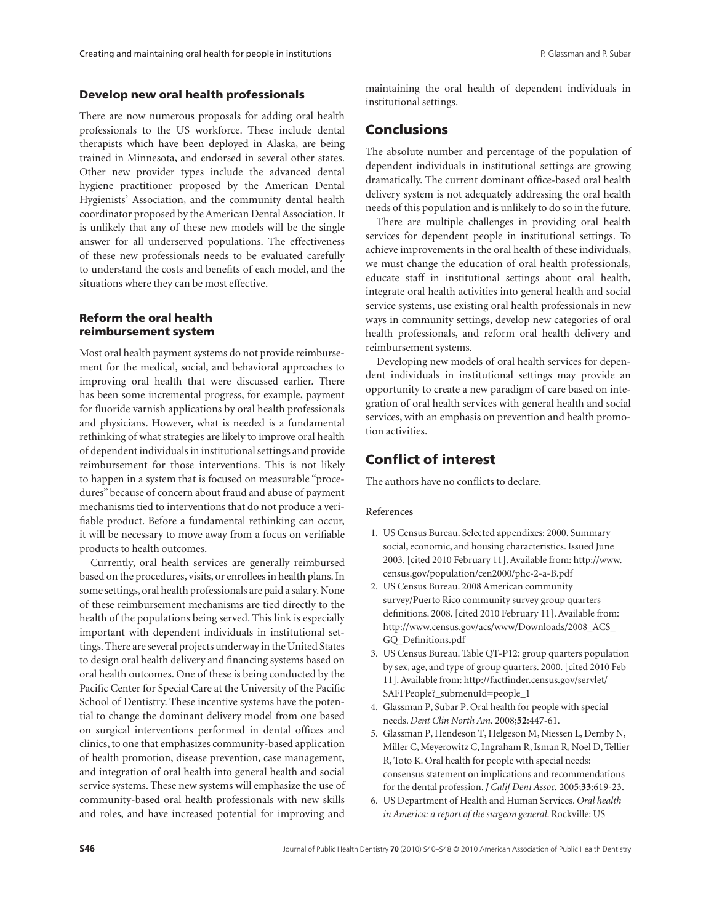# **Develop new oral health professionals**

There are now numerous proposals for adding oral health professionals to the US workforce. These include dental therapists which have been deployed in Alaska, are being trained in Minnesota, and endorsed in several other states. Other new provider types include the advanced dental hygiene practitioner proposed by the American Dental Hygienists' Association, and the community dental health coordinator proposed by the American Dental Association. It is unlikely that any of these new models will be the single answer for all underserved populations. The effectiveness of these new professionals needs to be evaluated carefully to understand the costs and benefits of each model, and the situations where they can be most effective.

# **Reform the oral health reimbursement system**

Most oral health payment systems do not provide reimbursement for the medical, social, and behavioral approaches to improving oral health that were discussed earlier. There has been some incremental progress, for example, payment for fluoride varnish applications by oral health professionals and physicians. However, what is needed is a fundamental rethinking of what strategies are likely to improve oral health of dependent individuals in institutional settings and provide reimbursement for those interventions. This is not likely to happen in a system that is focused on measurable "procedures" because of concern about fraud and abuse of payment mechanisms tied to interventions that do not produce a verifiable product. Before a fundamental rethinking can occur, it will be necessary to move away from a focus on verifiable products to health outcomes.

Currently, oral health services are generally reimbursed based on the procedures, visits, or enrollees in health plans. In some settings, oral health professionals are paid a salary.None of these reimbursement mechanisms are tied directly to the health of the populations being served. This link is especially important with dependent individuals in institutional settings. There are several projects underway in the United States to design oral health delivery and financing systems based on oral health outcomes. One of these is being conducted by the Pacific Center for Special Care at the University of the Pacific School of Dentistry. These incentive systems have the potential to change the dominant delivery model from one based on surgical interventions performed in dental offices and clinics, to one that emphasizes community-based application of health promotion, disease prevention, case management, and integration of oral health into general health and social service systems. These new systems will emphasize the use of community-based oral health professionals with new skills and roles, and have increased potential for improving and

maintaining the oral health of dependent individuals in institutional settings.

# **Conclusions**

The absolute number and percentage of the population of dependent individuals in institutional settings are growing dramatically. The current dominant office-based oral health delivery system is not adequately addressing the oral health needs of this population and is unlikely to do so in the future.

There are multiple challenges in providing oral health services for dependent people in institutional settings. To achieve improvements in the oral health of these individuals, we must change the education of oral health professionals, educate staff in institutional settings about oral health, integrate oral health activities into general health and social service systems, use existing oral health professionals in new ways in community settings, develop new categories of oral health professionals, and reform oral health delivery and reimbursement systems.

Developing new models of oral health services for dependent individuals in institutional settings may provide an opportunity to create a new paradigm of care based on integration of oral health services with general health and social services, with an emphasis on prevention and health promotion activities.

# **Conflict of interest**

The authors have no conflicts to declare.

#### **References**

- 1. US Census Bureau. Selected appendixes: 2000. Summary social, economic, and housing characteristics. Issued June 2003. [cited 2010 February 11]. Available from: http://www. census.gov/population/cen2000/phc-2-a-B.pdf
- 2. US Census Bureau. 2008 American community survey/Puerto Rico community survey group quarters definitions. 2008. [cited 2010 February 11]. Available from: http://www.census.gov/acs/www/Downloads/2008\_ACS\_ GQ\_Definitions.pdf
- 3. US Census Bureau. Table QT-P12: group quarters population by sex, age, and type of group quarters. 2000. [cited 2010 Feb 11]. Available from: http://factfinder.census.gov/servlet/ SAFFPeople?\_submenuId=people\_1
- 4. Glassman P, Subar P. Oral health for people with special needs. *Dent Clin North Am.* 2008;**52**:447-61.
- 5. Glassman P, Hendeson T, Helgeson M, Niessen L, Demby N, Miller C, Meyerowitz C, Ingraham R, Isman R, Noel D, Tellier R, Toto K. Oral health for people with special needs: consensus statement on implications and recommendations for the dental profession. *J Calif Dent Assoc.* 2005;**33**:619-23.
- 6. US Department of Health and Human Services. *Oral health in America: a report of the surgeon general*. Rockville: US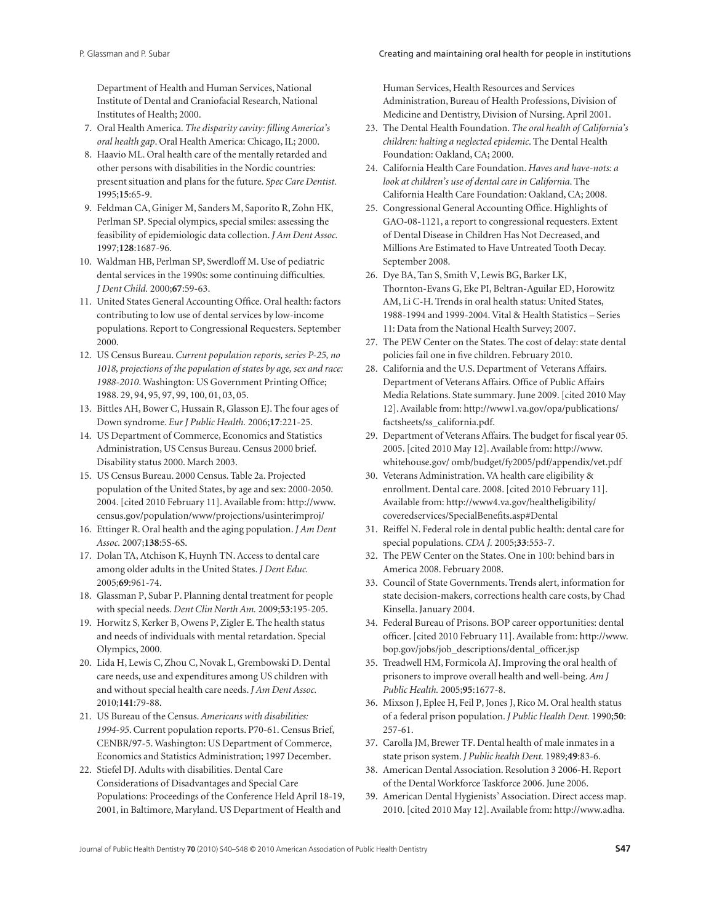Department of Health and Human Services, National Institute of Dental and Craniofacial Research, National Institutes of Health; 2000.

- 7. Oral Health America. *The disparity cavity: filling America's oral health gap*. Oral Health America: Chicago, IL; 2000.
- 8. Haavio ML. Oral health care of the mentally retarded and other persons with disabilities in the Nordic countries: present situation and plans for the future. *Spec Care Dentist.* 1995;**15**:65-9.
- 9. Feldman CA, Giniger M, Sanders M, Saporito R, Zohn HK, Perlman SP. Special olympics, special smiles: assessing the feasibility of epidemiologic data collection. *J Am Dent Assoc.* 1997;**128**:1687-96.
- 10. Waldman HB, Perlman SP, Swerdloff M. Use of pediatric dental services in the 1990s: some continuing difficulties. *J Dent Child.* 2000;**67**:59-63.
- 11. United States General Accounting Office. Oral health: factors contributing to low use of dental services by low-income populations. Report to Congressional Requesters. September 2000.
- 12. US Census Bureau. *Current population reports, series P-25, no 1018, projections of the population of states by age, sex and race: 1988-2010*. Washington: US Government Printing Office; 1988. 29, 94, 95, 97, 99, 100, 01, 03, 05.
- 13. Bittles AH, Bower C, Hussain R, Glasson EJ. The four ages of Down syndrome. *Eur J Public Health.* 2006;**17**:221-25.
- 14. US Department of Commerce, Economics and Statistics Administration, US Census Bureau. Census 2000 brief. Disability status 2000. March 2003.
- 15. US Census Bureau. 2000 Census. Table 2a. Projected population of the United States, by age and sex: 2000-2050. 2004. [cited 2010 February 11]. Available from: http://www. census.gov/population/www/projections/usinterimproj/
- 16. Ettinger R. Oral health and the aging population. *J Am Dent Assoc.* 2007;**138**:5S-6S.
- 17. Dolan TA, Atchison K, Huynh TN. Access to dental care among older adults in the United States. *J Dent Educ.* 2005;**69**:961-74.
- 18. Glassman P, Subar P. Planning dental treatment for people with special needs. *Dent Clin North Am.* 2009;**53**:195-205.
- 19. Horwitz S, Kerker B, Owens P, Zigler E. The health status and needs of individuals with mental retardation. Special Olympics, 2000.
- 20. Lida H, Lewis C, Zhou C, Novak L, Grembowski D. Dental care needs, use and expenditures among US children with and without special health care needs. *J Am Dent Assoc.* 2010;**141**:79-88.
- 21. US Bureau of the Census. *Americans with disabilities: 1994-95*. Current population reports. P70-61. Census Brief, CENBR/97-5. Washington: US Department of Commerce, Economics and Statistics Administration; 1997 December.
- 22. Stiefel DJ. Adults with disabilities. Dental Care Considerations of Disadvantages and Special Care Populations: Proceedings of the Conference Held April 18-19, 2001, in Baltimore, Maryland. US Department of Health and

Human Services, Health Resources and Services Administration, Bureau of Health Professions, Division of Medicine and Dentistry, Division of Nursing. April 2001.

- 23. The Dental Health Foundation. *The oral health of California's children: halting a neglected epidemic*. The Dental Health Foundation: Oakland, CA; 2000.
- 24. California Health Care Foundation. *Haves and have-nots: a look at children's use of dental care in California*. The California Health Care Foundation: Oakland, CA; 2008.
- 25. Congressional General Accounting Office. Highlights of GAO-08-1121, a report to congressional requesters. Extent of Dental Disease in Children Has Not Decreased, and Millions Are Estimated to Have Untreated Tooth Decay. September 2008.
- 26. Dye BA, Tan S, Smith V, Lewis BG, Barker LK, Thornton-Evans G, Eke PI, Beltran-Aguilar ED, Horowitz AM, Li C-H. Trends in oral health status: United States, 1988-1994 and 1999-2004. Vital & Health Statistics – Series 11: Data from the National Health Survey; 2007.
- 27. The PEW Center on the States. The cost of delay: state dental policies fail one in five children. February 2010.
- 28. California and the U.S. Department of Veterans Affairs. Department of Veterans Affairs. Office of Public Affairs Media Relations. State summary. June 2009. [cited 2010 May 12]. Available from: http://www1.va.gov/opa/publications/ factsheets/ss\_california.pdf.
- 29. Department of Veterans Affairs. The budget for fiscal year 05. 2005. [cited 2010 May 12]. Available from: http://www. whitehouse.gov/ omb/budget/fy2005/pdf/appendix/vet.pdf
- 30. Veterans Administration. VA health care eligibility & enrollment. Dental care. 2008. [cited 2010 February 11]. Available from: http://www4.va.gov/healtheligibility/ coveredservices/SpecialBenefits.asp#Dental
- 31. Reiffel N. Federal role in dental public health: dental care for special populations. *CDA J.* 2005;**33**:553-7.
- 32. The PEW Center on the States. One in 100: behind bars in America 2008. February 2008.
- 33. Council of State Governments. Trends alert, information for state decision-makers, corrections health care costs, by Chad Kinsella. January 2004.
- 34. Federal Bureau of Prisons. BOP career opportunities: dental officer. [cited 2010 February 11]. Available from: http://www. bop.gov/jobs/job\_descriptions/dental\_officer.jsp
- 35. Treadwell HM, Formicola AJ. Improving the oral health of prisoners to improve overall health and well-being. *Am J Public Health.* 2005;**95**:1677-8.
- 36. Mixson J, Eplee H, Feil P, Jones J, Rico M. Oral health status of a federal prison population. *J Public Health Dent.* 1990;**50**: 257-61.
- 37. Carolla JM, Brewer TF. Dental health of male inmates in a state prison system. *J Public health Dent.* 1989;**49**:83-6.
- 38. American Dental Association. Resolution 3 2006-H. Report of the Dental Workforce Taskforce 2006. June 2006.
- 39. American Dental Hygienists' Association. Direct access map. 2010. [cited 2010 May 12]. Available from: http://www.adha.